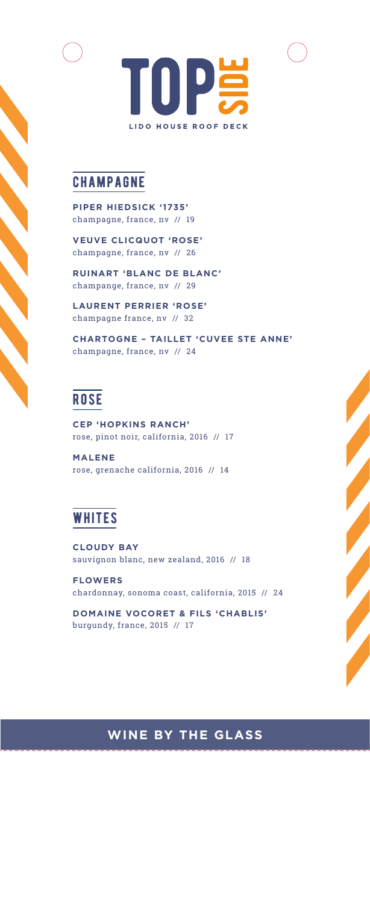

# **CHAMPAGNE**

**PIPER HIEDSICK '1735'**  champagne, france, nv // 19

**VEUVE CLICQUOT 'ROSE'**  champagne, france, nv // 26

**RUINART 'BLANC DE BLANC'** champange, france, nv // 29

 **LAURENT PERRIER 'ROSE'** champagne france, nv // 32

**CHARTOGNE – TAILLET 'CUVEE STE ANNE'** champagne, france, nv // 24

# **ROSE**

**CEP 'HOPKINS RANCH'** rose, pinot noir, california, 2016 // 17

**MALENE** rose, grenache california, 2016 // 14

# **WHITES**

**CLOUDY BAY** sauvignon blanc, new zealand, 2016 // 18

**FLOWERS** chardonnay, sonoma coast, california, 2015 // 24

**DOMAINE VOCORET & FILS 'CHABLIS'** burgundy, france, 2015 // 17

# **WINE BY THE GLASS**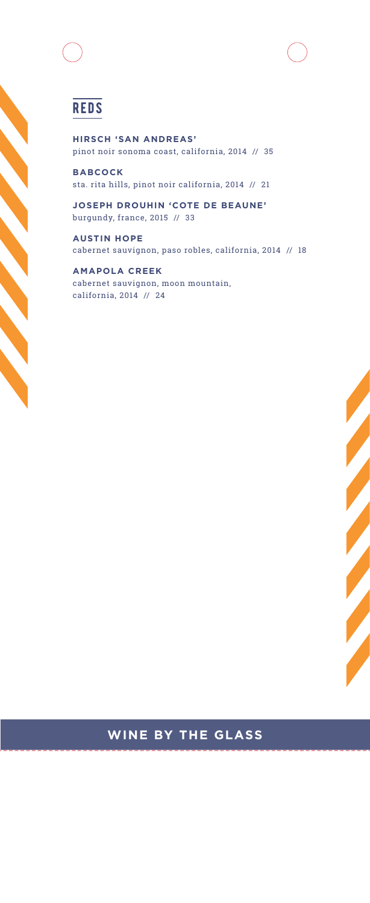# **REDS**

**HIRSCH 'SAN ANDREAS'** pinot noir sonoma coast, california, 2014 // 35

**BABCOCK** sta. rita hills, pinot noir california, 2014 // 21

**JOSEPH DROUHIN 'COTE DE BEAUNE'** burgundy, france, 2015 // 33

**AUSTIN HOPE** cabernet sauvignon, paso robles, california, 2014 // 18

**AMAPOLA CREEK** cabernet sauvignon, moon mountain, california, 2014 // 24

### **WINE BY THE GLASS**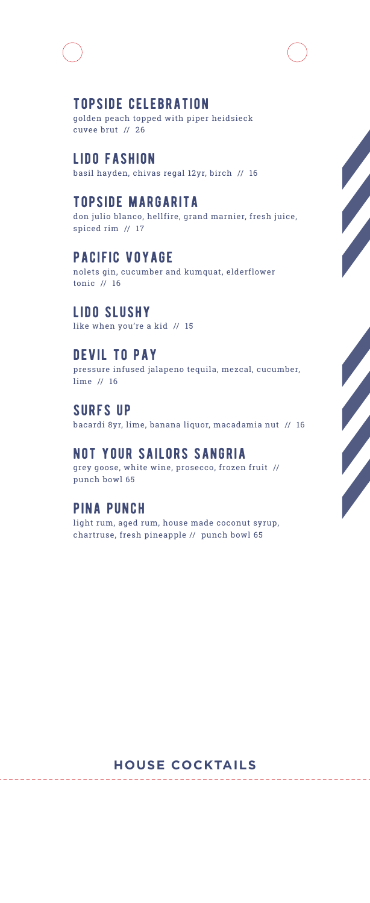### topside celebration

golden peach topped with piper heidsieck cuvee brut // 26

# lido fashion

basil hayden, chivas regal 12yr, birch // 16

### topside margarita

don julio blanco, hellfire, grand marnier, fresh juice, spiced rim // 17

#### pacific voyage

nolets gin, cucumber and kumquat, elderflower tonic // 16

#### lido slushy

like when you're a kid // 15

#### devil to pay

pressure infused jalapeno tequila, mezcal, cucumber, lime // 16

#### **SURFS UP**

bacardi 8yr, lime, banana liquor, macadamia nut // 16

#### not your sailors sangria

grey goose, white wine, prosecco, frozen fruit // punch bowl 65

#### pina punch

light rum, aged rum, house made coconut syrup, chartruse, fresh pineapple // punch bowl 65

#### **HOUSE COCKTAILS**

. . . . . . . .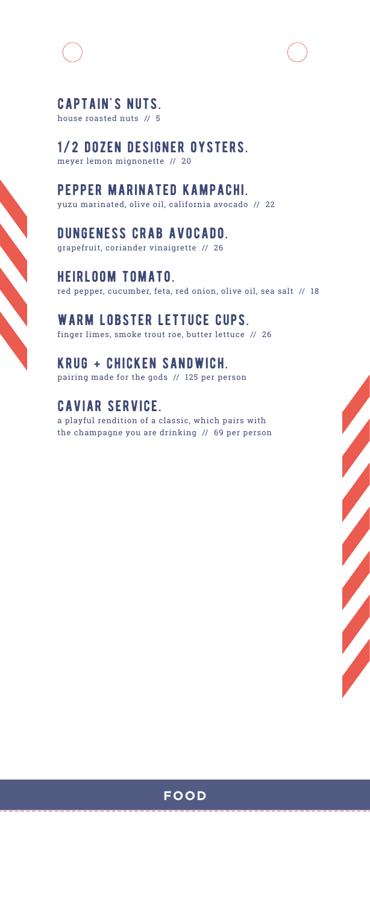

# captain's nuts.

house roasted nuts // 5

1/2 dozen designer oysters. meyer lemon mignonette // 20

pepper marinated kampachi. yuzu marinated, olive oil, california avocado // 22

dungeness crab avocado. grapefruit, coriander vinaigrette // 26

heirloom tomato. red pepper, cucumber, feta, red onion, olive oil, sea salt // 18

warm lobster lettuce cups. finger limes, smoke trout roe, butter lettuce // 26

krug + chicken sandwich. pairing made for the gods // 125 per person

# caviar service.

a playful rendition of a classic, which pairs with the champagne you are drinking // 69 per person



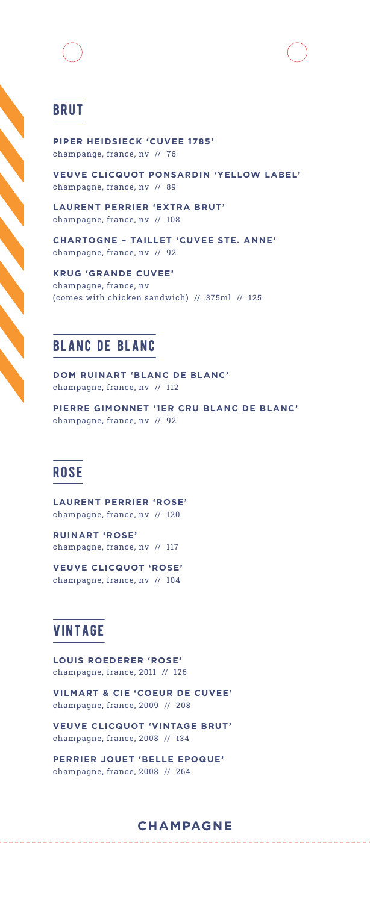# brut

**PIPER HEIDSIECK 'CUVEE 1785'** champange, france, nv // 76

**VEUVE CLICQUOT PONSARDIN 'YELLOW LABEL'**  champagne, france, nv // 89

**LAURENT PERRIER 'EXTRA BRUT'** champagne, france, nv // 108

**CHARTOGNE – TAILLET 'CUVEE STE. ANNE'** champagne, france, nv // 92

**KRUG 'GRANDE CUVEE'** champagne, france, nv (comes with chicken sandwich) // 375ml // 125

# blanc de blanc

**DOM RUINART 'BLANC DE BLANC'** champagne, france, nv // 112

**PIERRE GIMONNET '1ER CRU BLANC DE BLANC'** champagne, france, nv // 92

# **ROSE**

**LAURENT PERRIER 'ROSE'** champagne, france, nv // 120

**RUINART 'ROSE'** champagne, france, nv // 117

**VEUVE CLICQUOT 'ROSE'** champagne, france, nv // 104

# vintage

**LOUIS ROEDERER 'ROSE'** champagne, france, 2011 // 126

**VILMART & CIE 'COEUR DE CUVEE'** champagne, france, 2009 // 208

**VEUVE CLICQUOT 'VINTAGE BRUT'** champagne, france, 2008 // 134

**PERRIER JOUET 'BELLE EPOQUE'** champagne, france, 2008 // 264

#### **CHAMPAGNE**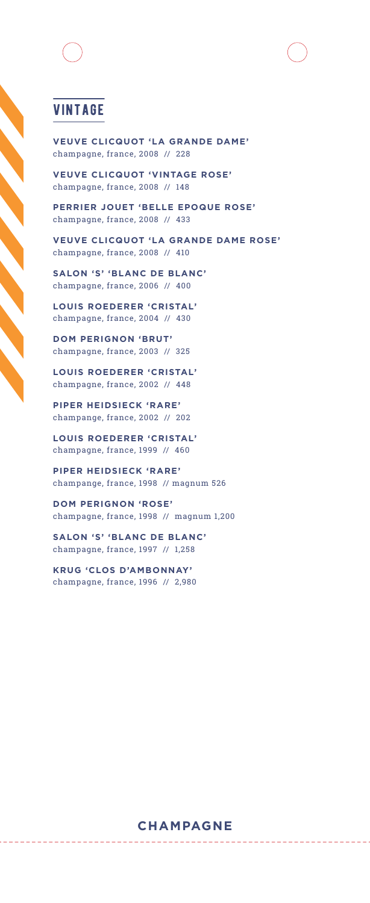# vintage

**VEUVE CLICQUOT 'LA GRANDE DAME'** champagne, france, 2008 // 228

**VEUVE CLICQUOT 'VINTAGE ROSE'**  champagne, france, 2008 // 148

**PERRIER JOUET 'BELLE EPOQUE ROSE'** champagne, france, 2008 // 433

**VEUVE CLICQUOT 'LA GRANDE DAME ROSE'** champagne, france, 2008 // 410

**SALON 'S' 'BLANC DE BLANC'** champagne, france, 2006 // 400

**LOUIS ROEDERER 'CRISTAL'** champagne, france, 2004 // 430

**DOM PERIGNON 'BRUT'** champagne, france, 2003 // 325

**LOUIS ROEDERER 'CRISTAL'** champagne, france, 2002 // 448

**PIPER HEIDSIECK 'RARE'** champange, france, 2002 // 202

**LOUIS ROEDERER 'CRISTAL'** champagne, france, 1999 // 460

**PIPER HEIDSIECK 'RARE'** champange, france, 1998 // magnum 526

**DOM PERIGNON 'ROSE'**  champagne, france, 1998 // magnum 1,200

**SALON 'S' 'BLANC DE BLANC'** champagne, france, 1997 // 1,258

**KRUG 'CLOS D'AMBONNAY'** champagne, france, 1996 // 2,980

. . . . . . .

#### **CHAMPAGNE**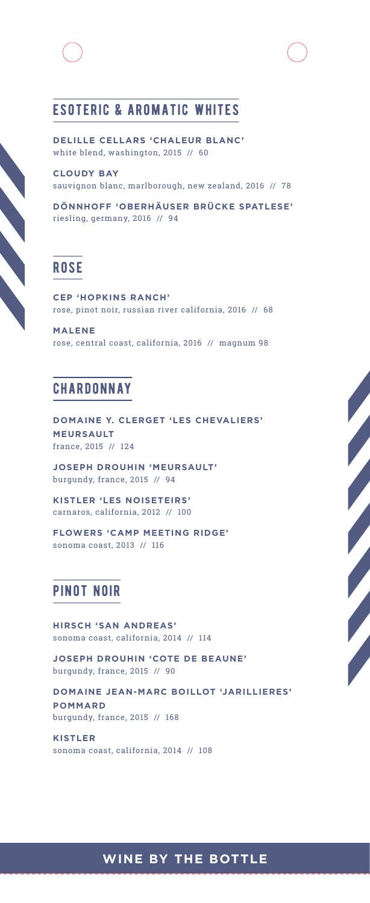

**DELILLE CELLARS 'CHALEUR BLANC'** white blend, washington, 2015 // 60

**CLOUDY BAY** sauvignon blanc, marlborough, new zealand, 2016 // 78

**DÖNNHOFF 'OBERHÄUSER BRÜCKE SPATLESE'** riesling, germany, 2016 // 94

# **ROSE**

**CEP 'HOPKINS RANCH'** rose, pinot noir, russian river california, 2016 // 68

**MALENE** rose, central coast, california, 2016 // magnum 98

#### **CHARDONNAY**

**DOMAINE Y. CLERGET 'LES CHEVALIERS' MEURSAULT** france, 2015 // 124

**JOSEPH DROUHIN 'MEURSAULT'** burgundy, france, 2015 // 94

**KISTLER 'LES NOISETEIRS'** carnaros, california, 2012 // 100

**FLOWERS 'CAMP MEETING RIDGE'** sonoma coast, 2013 // 116

# pinot noir

**HIRSCH 'SAN ANDREAS'** sonoma coast, california, 2014 // 114

**JOSEPH DROUHIN 'COTE DE BEAUNE'** burgundy, france, 2015 // 90

**DOMAINE JEAN-MARC BOILLOT 'JARILLIERES' POMMARD** burgundy, france, 2015 // 168

**KISTLER** sonoma coast, california, 2014 // 108

# **WINE BY THE BOTTLE**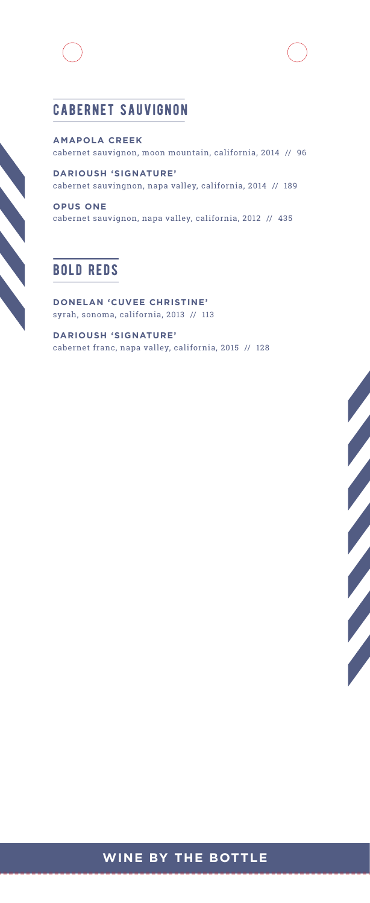

# cabernet sauvignon

**AMAPOLA CREEK** cabernet sauvignon, moon mountain, california, 2014 // 96

**DARIOUSH 'SIGNATURE'** cabernet sauvingnon, napa valley, california, 2014 // 189

**OPUS ONE** cabernet sauvignon, napa valley, california, 2012 // 435

# bold reds

**DONELAN 'CUVEE CHRISTINE'** syrah, sonoma, california, 2013 // 113

**DARIOUSH 'SIGNATURE'** cabernet franc, napa valley, california, 2015 // 128

# 

# **WINE BY THE BOTTLE**